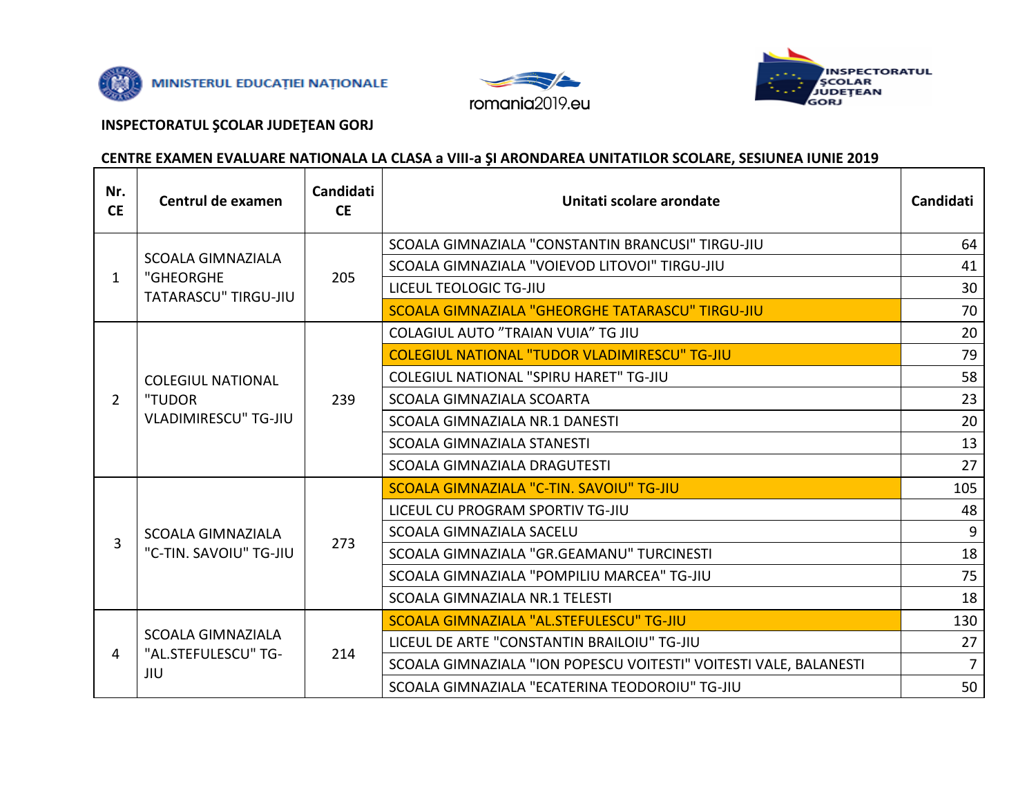





## **INSPECTORATUL ȘCOLAR JUDEȚEAN GORJ**

## CENTRE EXAMEN EVALUARE NATIONALA LA CLASA a VIII-a ȘI ARONDAREA UNITATILOR SCOLARE, SESIUNEA IUNIE 2019

| Nr.<br><b>CE</b> | Centrul de examen                                                 | Candidati<br><b>CE</b> | Unitati scolare arondate                                          | <b>Candidati</b> |
|------------------|-------------------------------------------------------------------|------------------------|-------------------------------------------------------------------|------------------|
| 1                | <b>SCOALA GIMNAZIALA</b><br>"GHEORGHE<br>TATARASCU" TIRGU-JIU     | 205                    | SCOALA GIMNAZIALA "CONSTANTIN BRANCUSI" TIRGU-JIU                 | 64               |
|                  |                                                                   |                        | SCOALA GIMNAZIALA "VOIEVOD LITOVOI" TIRGU-JIU                     | 41               |
|                  |                                                                   |                        | LICEUL TEOLOGIC TG-JIU                                            | 30               |
|                  |                                                                   |                        | SCOALA GIMNAZIALA "GHEORGHE TATARASCU" TIRGU-JIU                  | 70               |
|                  | <b>COLEGIUL NATIONAL</b><br>"TUDOR<br><b>VLADIMIRESCU" TG-JIU</b> | 239                    | <b>COLAGIUL AUTO "TRAIAN VUIA" TG JIU</b>                         | 20               |
|                  |                                                                   |                        | <b>COLEGIUL NATIONAL "TUDOR VLADIMIRESCU" TG-JIU</b>              | 79               |
|                  |                                                                   |                        | COLEGIUL NATIONAL "SPIRU HARET" TG-JIU                            | 58               |
| $\overline{2}$   |                                                                   |                        | SCOALA GIMNAZIALA SCOARTA                                         | 23               |
|                  |                                                                   |                        | SCOALA GIMNAZIALA NR.1 DANESTI                                    | 20               |
|                  |                                                                   |                        | <b>SCOALA GIMNAZIALA STANESTI</b>                                 | 13               |
|                  |                                                                   |                        | SCOALA GIMNAZIALA DRAGUTESTI                                      | 27               |
|                  | <b>SCOALA GIMNAZIALA</b><br>"C-TIN. SAVOIU" TG-JIU                | 273                    | SCOALA GIMNAZIALA "C-TIN, SAVOIU" TG-JIU                          | 105              |
| 3                |                                                                   |                        | LICEUL CU PROGRAM SPORTIV TG-JIU                                  | 48               |
|                  |                                                                   |                        | SCOALA GIMNAZIALA SACELU                                          | 9                |
|                  |                                                                   |                        | SCOALA GIMNAZIALA "GR.GEAMANU" TURCINESTI                         | 18               |
|                  |                                                                   |                        | SCOALA GIMNAZIALA "POMPILIU MARCEA" TG-JIU                        | 75               |
|                  |                                                                   |                        | SCOALA GIMNAZIALA NR.1 TELESTI                                    | 18               |
| 4                | <b>SCOALA GIMNAZIALA</b><br>"AL.STEFULESCU" TG-<br>JIU            | 214                    | SCOALA GIMNAZIALA "AL.STEFULESCU" TG-JIU                          | 130              |
|                  |                                                                   |                        | LICEUL DE ARTE "CONSTANTIN BRAILOIU" TG-JIU                       | 27               |
|                  |                                                                   |                        | SCOALA GIMNAZIALA "ION POPESCU VOITESTI" VOITESTI VALE, BALANESTI | $\overline{7}$   |
|                  |                                                                   |                        | SCOALA GIMNAZIALA "ECATERINA TEODOROIU" TG-JIU                    | 50               |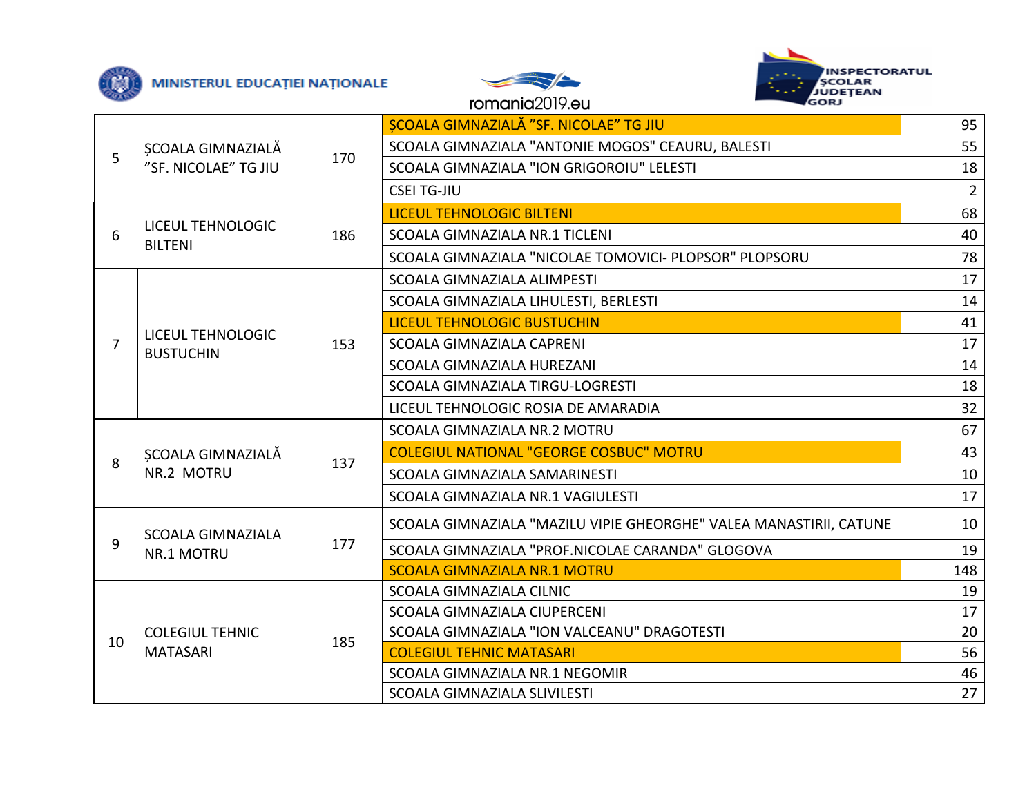





## romania2019.eu

|                     | ȘCOALA GIMNAZIALĂ<br>"SF. NICOLAE" TG JIU | 170 | SCOALA GIMNAZIALĂ "SF. NICOLAE" TG JIU                                                                                                                                                                                                                                                                                                                                                                                                                                                                                                                                                                                                                                                                                                                                                                                     | 95              |
|---------------------|-------------------------------------------|-----|----------------------------------------------------------------------------------------------------------------------------------------------------------------------------------------------------------------------------------------------------------------------------------------------------------------------------------------------------------------------------------------------------------------------------------------------------------------------------------------------------------------------------------------------------------------------------------------------------------------------------------------------------------------------------------------------------------------------------------------------------------------------------------------------------------------------------|-----------------|
|                     |                                           |     | SCOALA GIMNAZIALA "ANTONIE MOGOS" CEAURU, BALESTI                                                                                                                                                                                                                                                                                                                                                                                                                                                                                                                                                                                                                                                                                                                                                                          | 55              |
|                     |                                           |     | SCOALA GIMNAZIALA "ION GRIGOROIU" LELESTI                                                                                                                                                                                                                                                                                                                                                                                                                                                                                                                                                                                                                                                                                                                                                                                  | 18              |
|                     |                                           |     | <b>CSEI TG-JIU</b>                                                                                                                                                                                                                                                                                                                                                                                                                                                                                                                                                                                                                                                                                                                                                                                                         | $2^{\circ}$     |
|                     |                                           |     | <b>LICEUL TEHNOLOGIC BILTENI</b>                                                                                                                                                                                                                                                                                                                                                                                                                                                                                                                                                                                                                                                                                                                                                                                           | 68              |
| 6                   | LICEUL TEHNOLOGIC<br><b>BILTENI</b>       | 186 | SCOALA GIMNAZIALA NR.1 TICLENI                                                                                                                                                                                                                                                                                                                                                                                                                                                                                                                                                                                                                                                                                                                                                                                             | 40              |
|                     |                                           |     | SCOALA GIMNAZIALA "NICOLAE TOMOVICI- PLOPSOR" PLOPSORU<br>SCOALA GIMNAZIALA ALIMPESTI<br>SCOALA GIMNAZIALA LIHULESTI, BERLESTI<br><b>LICEUL TEHNOLOGIC BUSTUCHIN</b><br>SCOALA GIMNAZIALA CAPRENI<br>SCOALA GIMNAZIALA HUREZANI<br>SCOALA GIMNAZIALA TIRGU-LOGRESTI<br>LICEUL TEHNOLOGIC ROSIA DE AMARADIA<br>SCOALA GIMNAZIALA NR.2 MOTRU<br><b>COLEGIUL NATIONAL "GEORGE COSBUC" MOTRU</b><br>SCOALA GIMNAZIALA SAMARINESTI<br>SCOALA GIMNAZIALA NR.1 VAGIULESTI<br>SCOALA GIMNAZIALA "MAZILU VIPIE GHEORGHE" VALEA MANASTIRII, CATUNE<br>SCOALA GIMNAZIALA "PROF.NICOLAE CARANDA" GLOGOVA<br><b>SCOALA GIMNAZIALA NR.1 MOTRU</b><br>SCOALA GIMNAZIALA CILNIC<br><b>SCOALA GIMNAZIALA CIUPERCENI</b><br>SCOALA GIMNAZIALA "ION VALCEANU" DRAGOTESTI<br><b>COLEGIUL TEHNIC MATASARI</b><br>SCOALA GIMNAZIALA NR.1 NEGOMIR | 78              |
| $\overline{7}$<br>8 |                                           |     |                                                                                                                                                                                                                                                                                                                                                                                                                                                                                                                                                                                                                                                                                                                                                                                                                            | 17              |
|                     | LICEUL TEHNOLOGIC<br><b>BUSTUCHIN</b>     | 153 |                                                                                                                                                                                                                                                                                                                                                                                                                                                                                                                                                                                                                                                                                                                                                                                                                            | 14              |
|                     |                                           |     |                                                                                                                                                                                                                                                                                                                                                                                                                                                                                                                                                                                                                                                                                                                                                                                                                            | 41              |
|                     |                                           |     |                                                                                                                                                                                                                                                                                                                                                                                                                                                                                                                                                                                                                                                                                                                                                                                                                            | 17              |
|                     |                                           |     |                                                                                                                                                                                                                                                                                                                                                                                                                                                                                                                                                                                                                                                                                                                                                                                                                            | 14              |
|                     |                                           |     |                                                                                                                                                                                                                                                                                                                                                                                                                                                                                                                                                                                                                                                                                                                                                                                                                            | 18              |
|                     |                                           |     |                                                                                                                                                                                                                                                                                                                                                                                                                                                                                                                                                                                                                                                                                                                                                                                                                            | 32 <sup>2</sup> |
|                     | ȘCOALA GIMNAZIALĂ                         |     |                                                                                                                                                                                                                                                                                                                                                                                                                                                                                                                                                                                                                                                                                                                                                                                                                            | 67              |
| 5<br>9<br>10        |                                           |     |                                                                                                                                                                                                                                                                                                                                                                                                                                                                                                                                                                                                                                                                                                                                                                                                                            | 43              |
|                     | NR.2 MOTRU                                |     | 137<br>SCOALA GIMNAZIALA SLIVILESTI                                                                                                                                                                                                                                                                                                                                                                                                                                                                                                                                                                                                                                                                                                                                                                                        | 10              |
|                     |                                           |     |                                                                                                                                                                                                                                                                                                                                                                                                                                                                                                                                                                                                                                                                                                                                                                                                                            | 17              |
|                     | <b>SCOALA GIMNAZIALA</b>                  |     |                                                                                                                                                                                                                                                                                                                                                                                                                                                                                                                                                                                                                                                                                                                                                                                                                            | 10              |
|                     | NR.1 MOTRU                                | 177 |                                                                                                                                                                                                                                                                                                                                                                                                                                                                                                                                                                                                                                                                                                                                                                                                                            | 19              |
|                     |                                           |     |                                                                                                                                                                                                                                                                                                                                                                                                                                                                                                                                                                                                                                                                                                                                                                                                                            | 148             |
|                     | <b>COLEGIUL TEHNIC</b><br><b>MATASARI</b> | 185 |                                                                                                                                                                                                                                                                                                                                                                                                                                                                                                                                                                                                                                                                                                                                                                                                                            | 19              |
|                     |                                           |     |                                                                                                                                                                                                                                                                                                                                                                                                                                                                                                                                                                                                                                                                                                                                                                                                                            | 17              |
|                     |                                           |     |                                                                                                                                                                                                                                                                                                                                                                                                                                                                                                                                                                                                                                                                                                                                                                                                                            | 20              |
|                     |                                           |     |                                                                                                                                                                                                                                                                                                                                                                                                                                                                                                                                                                                                                                                                                                                                                                                                                            | 56              |
|                     |                                           |     |                                                                                                                                                                                                                                                                                                                                                                                                                                                                                                                                                                                                                                                                                                                                                                                                                            | 46              |
|                     |                                           |     |                                                                                                                                                                                                                                                                                                                                                                                                                                                                                                                                                                                                                                                                                                                                                                                                                            | 27              |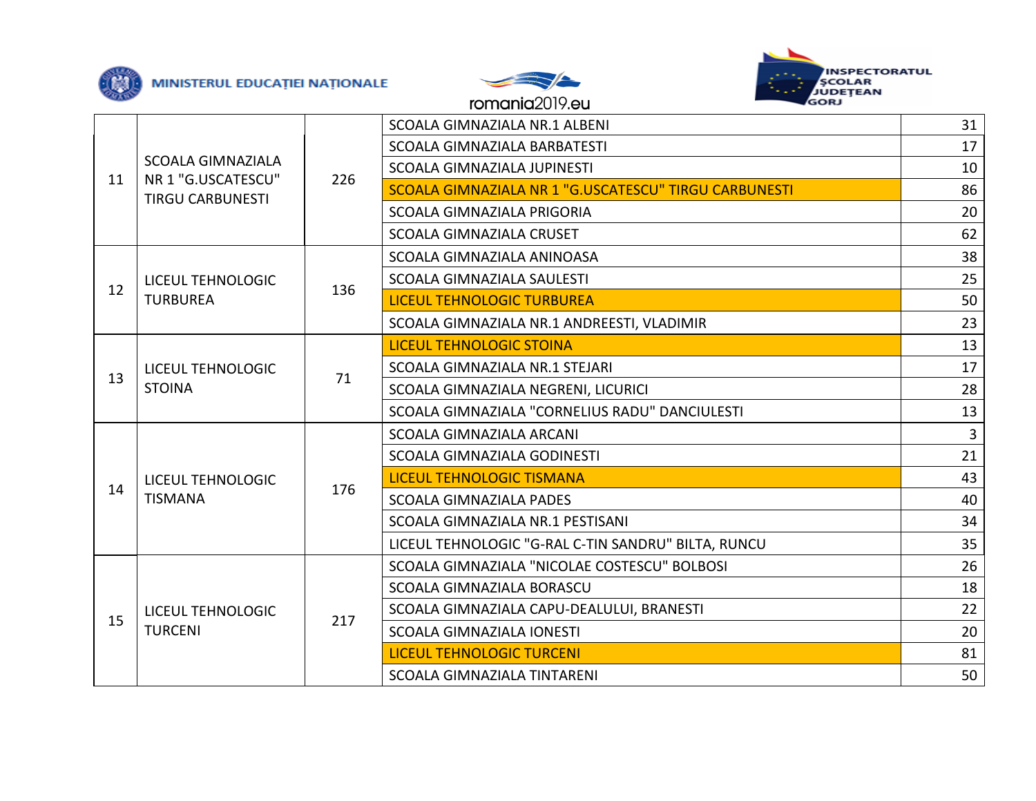





|                | <b>SCOALA GIMNAZIALA</b><br>NR 1 "G.USCATESCU"<br><b>TIRGU CARBUNESTI</b> | 226 | SCOALA GIMNAZIALA NR.1 ALBENI                         | 31             |
|----------------|---------------------------------------------------------------------------|-----|-------------------------------------------------------|----------------|
|                |                                                                           |     | SCOALA GIMNAZIALA BARBATESTI                          | 17             |
| 11             |                                                                           |     | SCOALA GIMNAZIALA JUPINESTI                           | 10             |
|                |                                                                           |     | SCOALA GIMNAZIALA NR 1 "G.USCATESCU" TIRGU CARBUNESTI | 86             |
|                |                                                                           |     | SCOALA GIMNAZIALA PRIGORIA                            | 20             |
|                |                                                                           |     | SCOALA GIMNAZIALA CRUSET                              | 62             |
|                | LICEUL TEHNOLOGIC                                                         | 136 | SCOALA GIMNAZIALA ANINOASA                            | 38             |
|                |                                                                           |     | SCOALA GIMNAZIALA SAULESTI                            | 25             |
|                | <b>TURBUREA</b>                                                           |     | <b>LICEUL TEHNOLOGIC TURBUREA</b>                     | 50             |
|                |                                                                           |     | SCOALA GIMNAZIALA NR.1 ANDREESTI, VLADIMIR            | 23             |
| 13             |                                                                           | 71  | <b>LICEUL TEHNOLOGIC STOINA</b>                       | 13             |
|                | LICEUL TEHNOLOGIC<br><b>STOINA</b>                                        |     | SCOALA GIMNAZIALA NR.1 STEJARI                        | 17             |
|                |                                                                           |     | SCOALA GIMNAZIALA NEGRENI, LICURICI                   | 28             |
|                |                                                                           |     | SCOALA GIMNAZIALA "CORNELIUS RADU" DANCIULESTI        | 13             |
| 12<br>14<br>15 |                                                                           | 176 | <b>SCOALA GIMNAZIALA ARCANI</b>                       | $\overline{3}$ |
|                |                                                                           |     | SCOALA GIMNAZIALA GODINESTI                           | 21             |
|                | <b>LICEUL TEHNOLOGIC</b>                                                  |     | <b>LICEUL TEHNOLOGIC TISMANA</b>                      | 43             |
|                | <b>TISMANA</b>                                                            |     | <b>SCOALA GIMNAZIALA PADES</b>                        | 40             |
|                |                                                                           |     | SCOALA GIMNAZIALA NR.1 PESTISANI                      | 34             |
|                |                                                                           |     | LICEUL TEHNOLOGIC "G-RAL C-TIN SANDRU" BILTA, RUNCU   | 35             |
|                | LICEUL TEHNOLOGIC<br><b>TURCENI</b>                                       | 217 | SCOALA GIMNAZIALA "NICOLAE COSTESCU" BOLBOSI          | 26             |
|                |                                                                           |     | SCOALA GIMNAZIALA BORASCU                             | 18             |
|                |                                                                           |     | SCOALA GIMNAZIALA CAPU-DEALULUI, BRANESTI             | 22             |
|                |                                                                           |     | <b>SCOALA GIMNAZIALA IONESTI</b>                      | 20             |
|                |                                                                           |     | <b>LICEUL TEHNOLOGIC TURCENI</b>                      | 81             |
|                |                                                                           |     | SCOALA GIMNAZIALA TINTARENI                           | 50             |